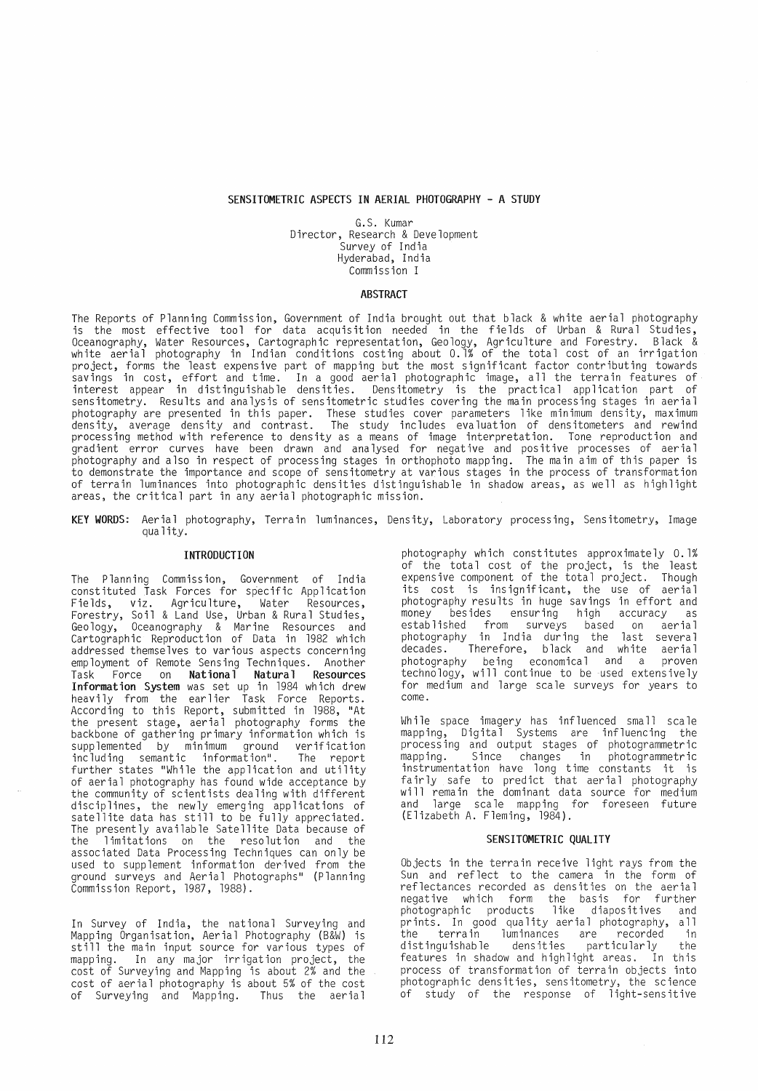## SENSITOMETRIC ASPECTS IN AERIAL PHOTOGRAPHY - A STUDY

G.S. Kumar Director, Research & Development Survey of India Hyderabad, India Commission I

#### **ABSTRACT**

The Reports of Planning Commission, Government of India brought out that black & white aerial photography is the most effective tool for data acquisition needed in the fields of Urban & Rural Studies, Oceanography, Water Resources, Cartographic representation, Geology, Agriculture and Forestry. Black & white aerial photography in Indian conditions costing about 0.1% of the total cost of an irrigation project, forms the least expensive part of mapping but the most significant factor contributing towards savings in cost, effort and time. In a good aerial photographic image, all the terrain features of interest appear in distinguishable densities. Densitometry is the practical application part of sensitometry. Results and analysis of sensitometric studies covering the main processing stages in aerial photography are presented in this paper. These studies cover parameters like minimum density, maximum density, average density and contrast. The study includes evaluation of densitometers and rewind process ing method with reference to dens ity as a means of image interpretat ion. Tone reproduct ion and gradient error curves have been drawn and analysed for negative and positive processes of aerial photography and also in respect of processing stages in orthophoto mapping. The main aim of this paper is to demonstrate the importance and scope of sensitometry at various stages in the process of transformation of terrain luminances into photographic densities distinguishable in shadow areas, as well as highlight areas, the critical part in any aerial photographic mission.

KEY WORDS: Aerial photography, Terrain luminances, Density, Laboratory processing, Sensitometry, Image quality.

# INTRODUCTION

The Planning Commission, Government of India constituted Task Forces for specific Application<br>Fields, viz. Agriculture, Water Resources, Fields, viz. Agriculture, Water Resources, Forestry, S041 & Land Use, Urban & Rural Studies, Geology, Oceanography & Marine Resources and Cartograph ic Reproduct ion of Data in 1982 wh ich addressed themselves to various aspects concerning employment of Remote Sensing Techniques. Another<br>Task Force on **National Natural Resources** on National Natural Resources Information System was set up in 1984 which drew<br>heavily from the earlier Task Force Reports. heavily from the earlier Task Force Reports.<br>According to this Report, submitted in 1988, "At the present stage, aerial photography forms the backbone of gathering primary information which is supplemented by minimum ground verification<br>including semantic information". The report including semantic information". further states "While the application and utility of aerial photography has found wide acceptance by the community of scientists dealing with different disciplines, the newly emerging applications of satellite data has still to be fully appreciated. The presently available Satellite Data because of the limitations on the resolution and the associated Data Processing Techniques can only be used to supp lement informat ion derived from the ground surveys and Aerial Photographs" (Planning Commission Report, 1987, 1988).

In Survey of India, the national Surveying and Mapping Organisation, Aerial Photography (B&W) is still the main input source for various types of mapping. In any major irrigation project, the cost of Surveying and Mapping is about 2% and the cost of aerial photography is about 5% of the cost of Surveying and Mapping.

photography which constitutes approximately 0.1% of the total cost of the project, is the least expensive component of the total project. Though its cost is insignificant, the use of aerial photography results in huge savings in effort and besides ensuring high established from surveys based on aerial photography in India during the last several decades. Therefore, black and white aerial photography being economical and a proven techno logy, wi 11 cont inue to be used extens ive ly for medium and large sca le surveys for years to come.

While space imagery has influenced small scale mapping, Digital Systems are influencing the process ing and output stages of photogrammetric mapping. Since changes in photogrammetric instrumentation have long time constants it is fairly safe to predict that aerial photography will remain the dominant data source for medium and large scale mapping for foreseen future (Elizabeth A. Fleming, 1984).

#### SENSITOMETRIC QUALITY

Objects in the terrain receive light rays from the Sun and reflect to the camera in the form of reflectances recorded as dens it ies on the aeria 1 negative which form the basis for further photographic products like diapositives and photographic products like diapositives and<br>prints. In good quality aerial photography, all<br>the terrain luminances are recorded in .<br>the terrain luminances are recorded in<br>distinguishable densities particularly the particularly the<br>ht areas. In this features in shadow and highlight areas. process of transformation of terrain objects into photographic densities, sensitometry, the science of study of the response of light-sensitive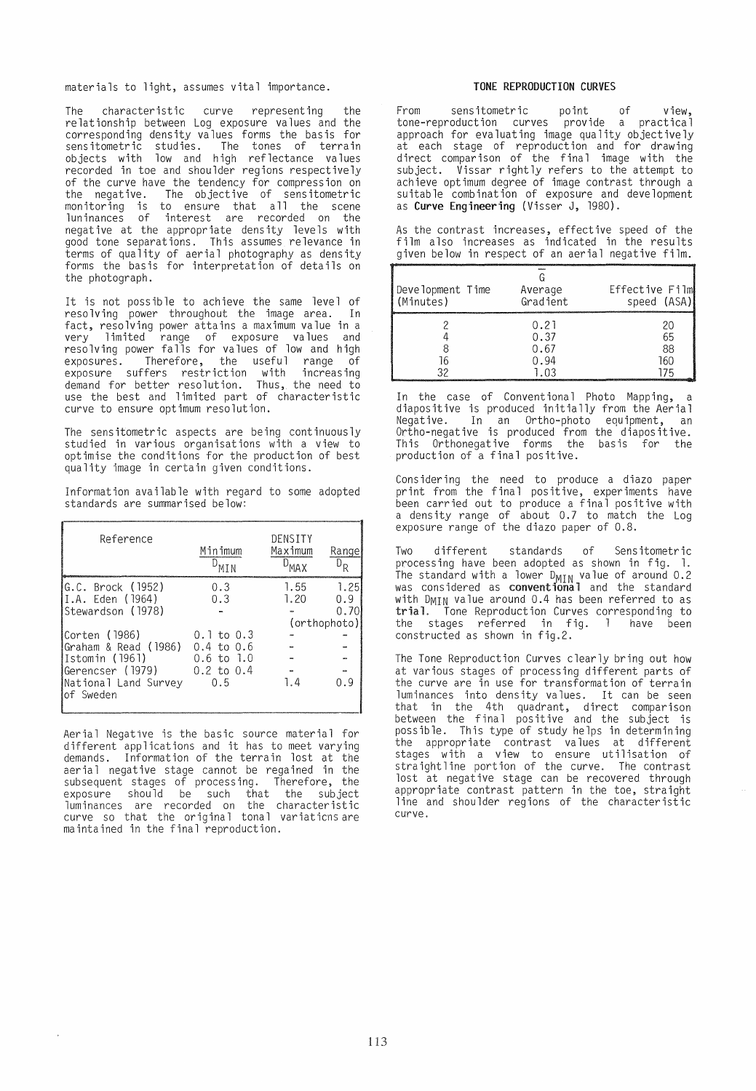materials to light, assumes vital importanee.

The eharaeteristie eurve representing the re lat ionsh ip between Log exposure va lues and the eorresponding density values forms the basis for sensitometric studies. The tones of terrain objeets with low and high refleetanee values recorded in toe and shoulder regions respectively of the eurve have the tendeney for eompression on the negative. The objeetive of sensitometrie monitoring is to ensure that all the seene luninanees of interest are reeorded on the negat ive at the appropriate dens ity leve ls with good tone separations. This assumes relevanee in terms of quality of aerial photography as density forms the basis for interpretation of details on the photograph.

It is not possible to achieve the same level of resolving power throughout the image area. In faet, resolving power attains a maximum va1ue in a very 1 imited range of exposure va lues and resolving power falls for values of low and high exposures. Therefore, the useful range of exposure suffers restriction with increasing demand for better resolution. Thus, the need to use the best and limited part of eharaeteristie eurve to ensure optimum resolution.

The sensitometric aspects are being continuously studied in various organisations with a view to optimise the eonditions for the produetion of best quality image in eertain given eonditions.

Information available with regard to some adopted standards are summarised below:

| Reference                                                                                                               | Minimum<br>MTN                                                                            | DENSITY<br>Maximum<br><b>MAY</b> | Range                               |
|-------------------------------------------------------------------------------------------------------------------------|-------------------------------------------------------------------------------------------|----------------------------------|-------------------------------------|
| G.C. Brock (1952)<br>II.A. Eden (1964)<br>Stewardson (1978)<br> Corten (1986)<br>Graham & Read (1986)<br>Istomin (1961) | 0.3<br>0.3<br>$0.1$ to $0.3$<br>$0.4 \text{ to } 0.6$<br>$0.6$ to $1.0$<br>$0.2$ to $0.4$ | 1.55<br>1.20                     | 1.25<br>0.9<br>0.70<br>(orthophoto) |
| lGerencser (1979)<br>National Land Survey<br>of Sweden                                                                  | 0.5                                                                                       | 1.4                              | 0.9                                 |

Aerial Negative is the basic source material for different applications and it has to meet varying demands. Informat ion of the terra in lost at the aerial negative stage cannot be regained in the subsequent stages of proeess ing. Therefore, the exposure should be such that the subject<br>luminances are recorded on the characteristic curve so that the original tonal variaticns are maintained in the final reproduetion.

#### TONE REPRODUCTION CURVES

From sensitometrie point of view, tone-reproduction curves provide a practical approach for evaluating image quality objectively at eaeh stage of reproduetion and for drawing direct comparison of the final image with the subject. Vissar rightly refers to the attempt to achieve optimum degree of image contrast through a suitable combination of exposure and development as Curve Engineering (Visser J, 1980).

|  |  |  |  | As the contrast increases, effective speed of the  |  |  |
|--|--|--|--|----------------------------------------------------|--|--|
|  |  |  |  | film also increases as indicated in the results    |  |  |
|  |  |  |  | given below in respect of an aerial negative film. |  |  |

| Development Time | Average                              | Effective Film        |
|------------------|--------------------------------------|-----------------------|
| (Minutes)        | Gradient                             | speed (ASA)           |
|                  | 0.21<br>0.37<br>0.67<br>0.94<br>1.03 | 20<br>65<br>88<br>160 |

In the case of Conventional Photo Mapping, diapositive is produeed initially from the Aerial Negative. In an Ortho-photo equipment, an Ortho-negative is produeed from the diapositive. This Orthonegative forms the basis for the produetion of a final positive.

Considering the need to produce a diazo paper print from the final positive, experiments have been earried out to produee a final positive with a dens ity range of about 0.7 to mateh the Log exposure range of the diazo paper of 0.8.

Two different standards of Sensitometric processing have been adopted as shown in fig. 1. The standard with a lower  $D_{\text{MIN}}$  value of around 0.2 was considered as conventional and the standard with DMIN value around 0.4 has been referred to as trial. Tone Reproduetion Curves corresponding to the stages referred in fig. 1 have been constructed as shown in fig.2.

The Tone Reproduction Curves clearly bring out how at various stages of proeessing different parts of the eurve are in use for transformation of terrain luminances into density values. It can be seen that in the 4th quadrant, direct comparison<br>between the final positive and the subject is possible. This type of study helps in determining the appropriate contrast values at different stages with a view to ensure utilisation of straight line portion of the curve. The contrast lost at negative stage can be recovered through appropriate contrast pattern in the toe, straight line and shoulder regions of the eharacteristic curve.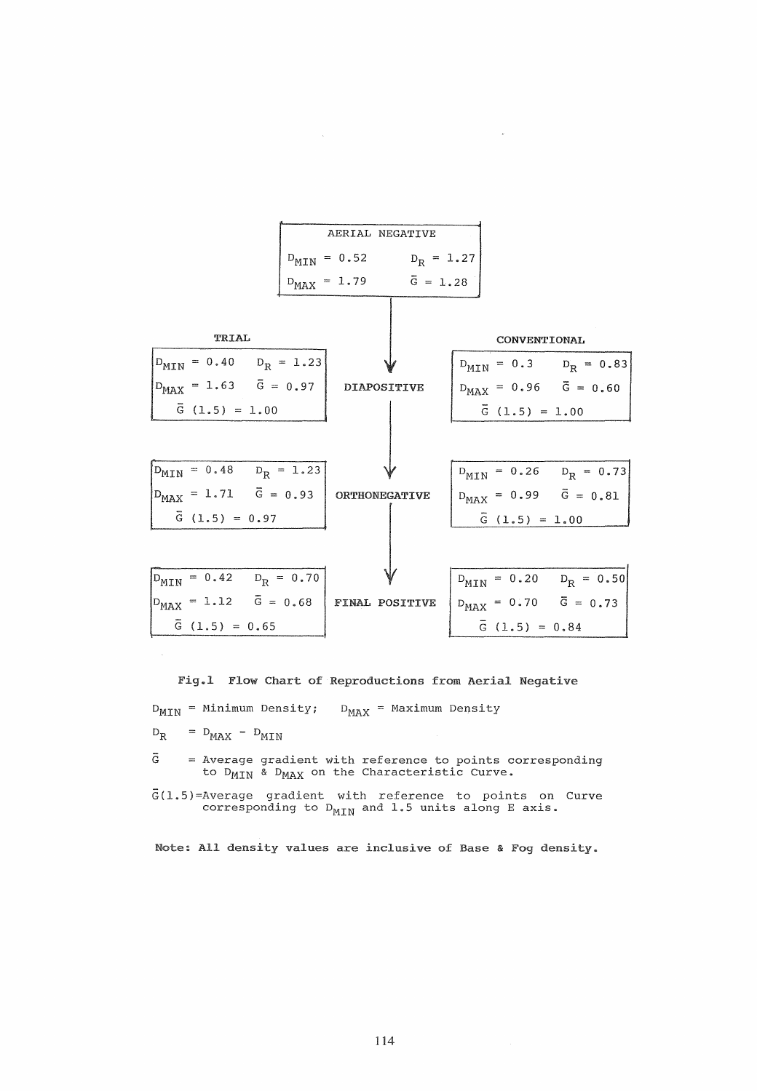

Fig.1 Flow Chart of Reproductions from Aerial Negative

 $D_{MIN}$  = Minimum Density;  $D_{MAX}$  = Maximum Density

 $D_{R}$  $= D_{MAX} - D_{MIN}$ 

 $\bar{G}$  = Average gradient with reference to points to D<sub>MIN</sub> & D<sub>MAX</sub> on the Characteristic Curve.

 $\bar{G}(1.5)$ =Average gradient with reference to points on Curve corresponding to  $D_{MIN}$  and 1.5 units along E axis.

Note: All density values are inclusive of Base & Fog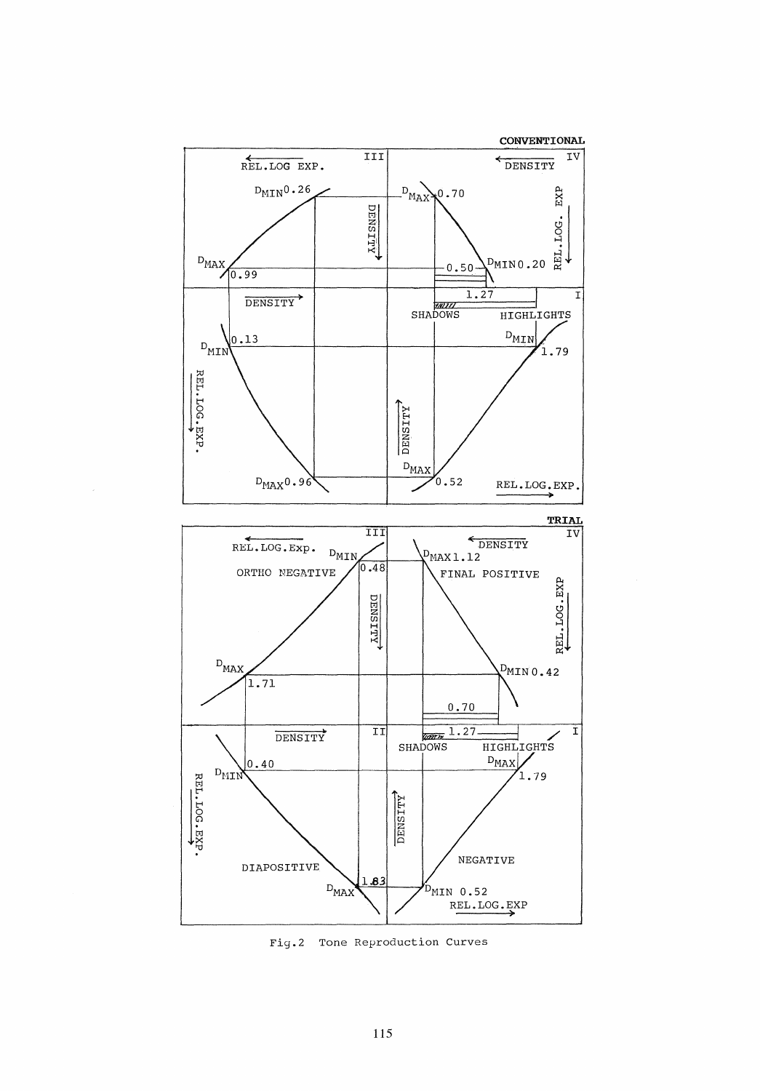

Fig.2 Tone Reproduction Curves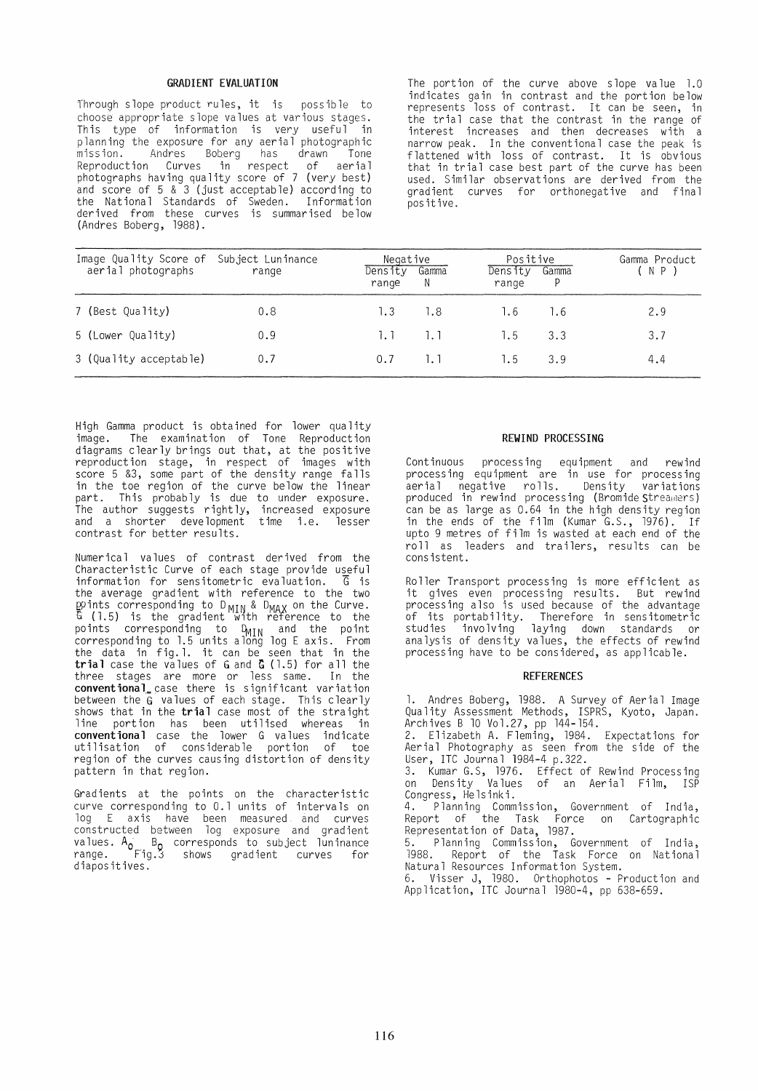## GRADIENT EVALUATION

Through slope product rules, it is possible to choose appropriate slope values at various stages. This type of information is very useful in planning the exposure for any aerial photographic Andres Boberg has drawn Reproduction Curves in respect of aerial photographs having quality score of 7 (very best) and score of 5 & 3 (just acceptable) according to the National Standards of Sweden. Information derived from these curves is summarised below (Andres Boberg, 1988).

The portion of the curve above slope value 1.0 ind icates ga in in eontrast and the port ion be low represents loss of contrast. It can be seen, in the trial case that the contrast in the range of interest increases and then decreases with a narrow peak. In the conventional case the peak is harrow peak: In the conventional case the peak is that in trial ease best part of the curve has been used. Similar observations are derived from the gradient curves for orthonegative and final positive.

| Image Quality Score of Subject Luninance<br>aerial photographs | range | Negative<br>Density<br>range | Gamma<br>N   | Positive<br>Density<br>range | Gamma<br>P | Gamma Product<br>(NP) |
|----------------------------------------------------------------|-------|------------------------------|--------------|------------------------------|------------|-----------------------|
| 7 (Best Quality)                                               | 0.8   | 1.3                          | 1.8          | 1.6                          | 1.6        | 2.9                   |
| 5 (Lower Quality)                                              | 0.9   | 1. 1                         | 1. 1         | 1.5                          | 3.3        | 3.7                   |
| 3 (Quality acceptable)                                         | 0.7   | 0.7                          | $\mathbf{L}$ | 1.5                          | 3.9        | 4.4                   |

High Gamma product is obtained for lower quality image. The examination of Tone Reproduction diagrams clearly brings out that, at the positive reproduction stage, in respect of images with score 5 &3, some part of the dens ity range fa lls in the toe region of the curve below the linear part. This probably is due to under exposure. The author suggests right ly, inereased exposure and a shorter development time i.e. lesser eontrast for better results.

Numerical values of contrast derived from the Characteristic Curve of each stage provide useful<br>information for sensitometric evaluation.  $\overline{G}$  is information for sensitometric evaluation. the average grad ient with reference to the two goints corresponding to D<sub>MIN</sub> & D<sub>MAX</sub> on the Curve.<br>G (1.5) is the gradient with reference to the points corresponding to D<sub>MIN</sub> and the point corresponding to 1.5 units along log E axis. From<br>the data in fig.1. it can be seen that in the trial case the values of G and G (1.5) for all the three stages are more or less same. In the conventional case there is significant variation between the G values of each stage. This clearly<br>shows that in the **trial** case most of the straight line portion has been utilised whereas in conventional case the lower G values indicate utilisation of considerable portion of toe region of the curves causing distortion of density pattern in that region.

Gradients at the points on the eharaeteristic curve correspond ing to O. 1 un its of interva ls on log E axis have been measured and eurves constructed between log exposure and gradient values. Ao B <sup>O</sup>corresponds to subject luninance range. Fig.J shows gradient curves for diapositives.

## REWIND PROCESSING

Continuous processing equipment and rewind processing equipment are in use for processing aerial negative rolls. Density variations produced in rewind processing (Bromide Streamers) can be as large as 0.64 in the high density region in the ends of the film (Kumar G.S., 1976). If upto 9 metres of film is wasted at each end of the roll as leaders and trailers, results can be consistent.

Roller Transport processing is more efficient as it gives even processing results. But rewind processing also is used because of the advantage of its portability. Therefore in sensitometrie studies involving laying down standards or analysis of density values, the effects of rewind processing have to be considered, as applicable.

#### **REFERENCES**

1. Andres Boberg, 1988. A Survey of Aerial Image Quality Assessment Methods, ISPRS, Kyoto, Japan.<br>Archives B 10 Vol.27, pp 144-154.

2. Elizabeth A. Fleming, 1984. Expectations for Aer ia 1 Photography as seen from the s ide of the User, ITC Journal 1984-4 p.322.

3. Kumar G.S, 1976. Effeet of Rewind Processing on Density Values of an Aerial Film, ISP Congress, Helsinki.

4. Planning Commission, Government of India, Report of the Task Force on Cartographic Representation of Data, 1987.

5. Planning Commission, Government of India, 1988. Report of the Task Force on National Natural Resources Information System.

6. Visser J, 1980. Orthophotos - Production and Application, ITC Journal 1980-4, pp 638-659.